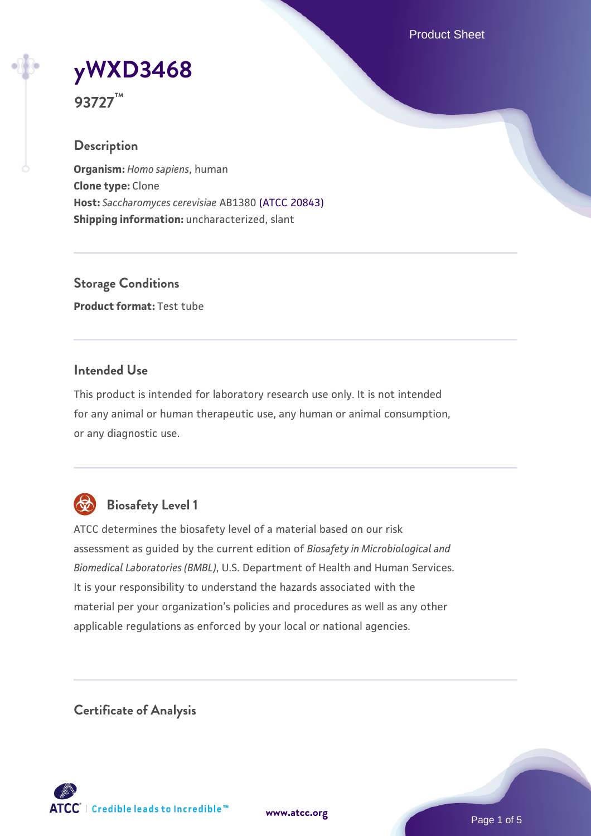Product Sheet

# **[yWXD3468](https://www.atcc.org/products/93727)**

**93727™**

# **Description**

**Organism:** *Homo sapiens*, human **Clone type:** Clone **Host:** *Saccharomyces cerevisiae* AB1380 [\(ATCC 20843\)](https://www.atcc.org/products/20843) **Shipping information:** uncharacterized, slant

**Storage Conditions Product format:** Test tube

# **Intended Use**

This product is intended for laboratory research use only. It is not intended for any animal or human therapeutic use, any human or animal consumption, or any diagnostic use.



# **Biosafety Level 1**

ATCC determines the biosafety level of a material based on our risk assessment as guided by the current edition of *Biosafety in Microbiological and Biomedical Laboratories (BMBL)*, U.S. Department of Health and Human Services. It is your responsibility to understand the hazards associated with the material per your organization's policies and procedures as well as any other applicable regulations as enforced by your local or national agencies.

**Certificate of Analysis**

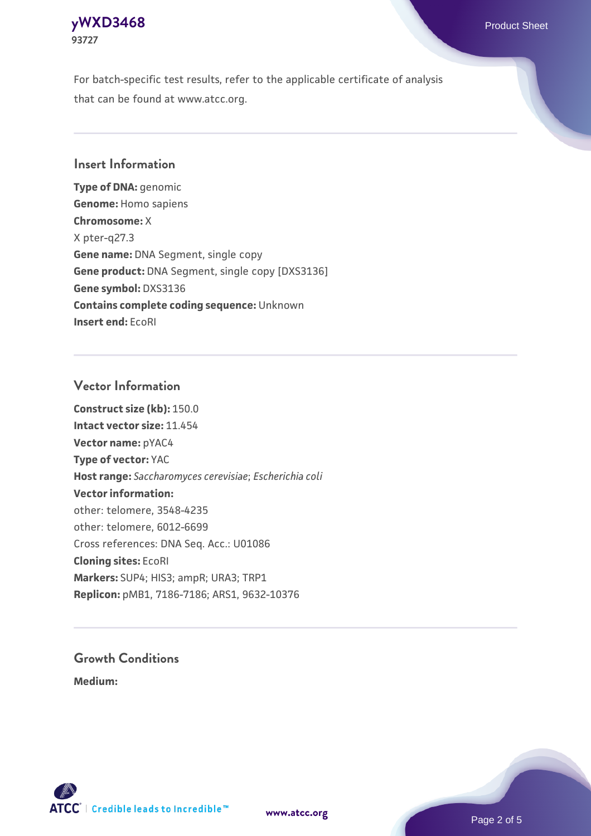#### **[yWXD3468](https://www.atcc.org/products/93727)** Product Sheet **93727**

For batch-specific test results, refer to the applicable certificate of analysis that can be found at www.atcc.org.

## **Insert Information**

**Type of DNA:** genomic **Genome:** Homo sapiens **Chromosome:** X X pter-q27.3 **Gene name:** DNA Segment, single copy **Gene product:** DNA Segment, single copy [DXS3136] **Gene symbol:** DXS3136 **Contains complete coding sequence:** Unknown **Insert end:** EcoRI

## **Vector Information**

**Construct size (kb):** 150.0 **Intact vector size:** 11.454 **Vector name:** pYAC4 **Type of vector:** YAC **Host range:** *Saccharomyces cerevisiae*; *Escherichia coli* **Vector information:** other: telomere, 3548-4235 other: telomere, 6012-6699 Cross references: DNA Seq. Acc.: U01086 **Cloning sites:** EcoRI **Markers:** SUP4; HIS3; ampR; URA3; TRP1 **Replicon:** pMB1, 7186-7186; ARS1, 9632-10376

# **Growth Conditions**

**Medium:** 



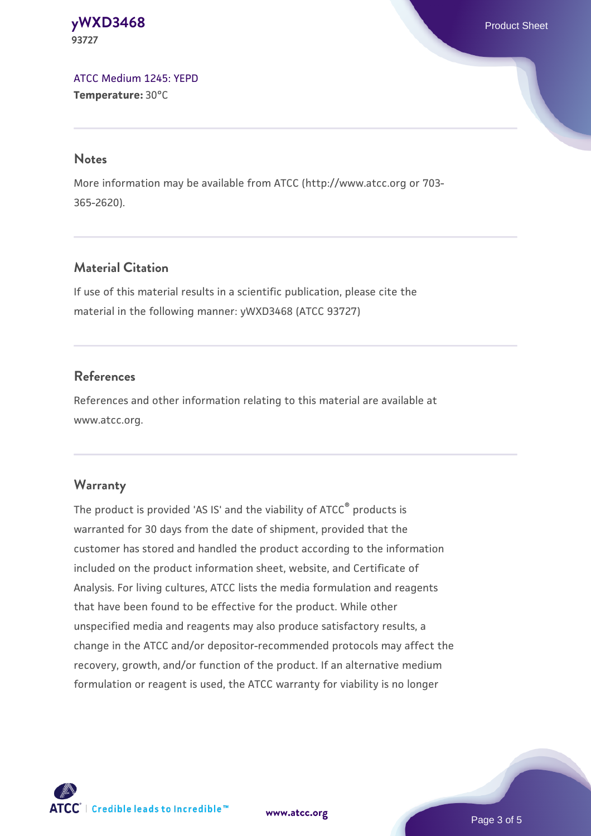#### **[yWXD3468](https://www.atcc.org/products/93727)** Product Sheet **93727**

[ATCC Medium 1245: YEPD](https://www.atcc.org/-/media/product-assets/documents/microbial-media-formulations/1/2/4/5/atcc-medium-1245.pdf?rev=705ca55d1b6f490a808a965d5c072196) **Temperature:** 30°C

#### **Notes**

More information may be available from ATCC (http://www.atcc.org or 703- 365-2620).

# **Material Citation**

If use of this material results in a scientific publication, please cite the material in the following manner: yWXD3468 (ATCC 93727)

# **References**

References and other information relating to this material are available at www.atcc.org.

# **Warranty**

The product is provided 'AS IS' and the viability of ATCC® products is warranted for 30 days from the date of shipment, provided that the customer has stored and handled the product according to the information included on the product information sheet, website, and Certificate of Analysis. For living cultures, ATCC lists the media formulation and reagents that have been found to be effective for the product. While other unspecified media and reagents may also produce satisfactory results, a change in the ATCC and/or depositor-recommended protocols may affect the recovery, growth, and/or function of the product. If an alternative medium formulation or reagent is used, the ATCC warranty for viability is no longer



**[www.atcc.org](http://www.atcc.org)**

Page 3 of 5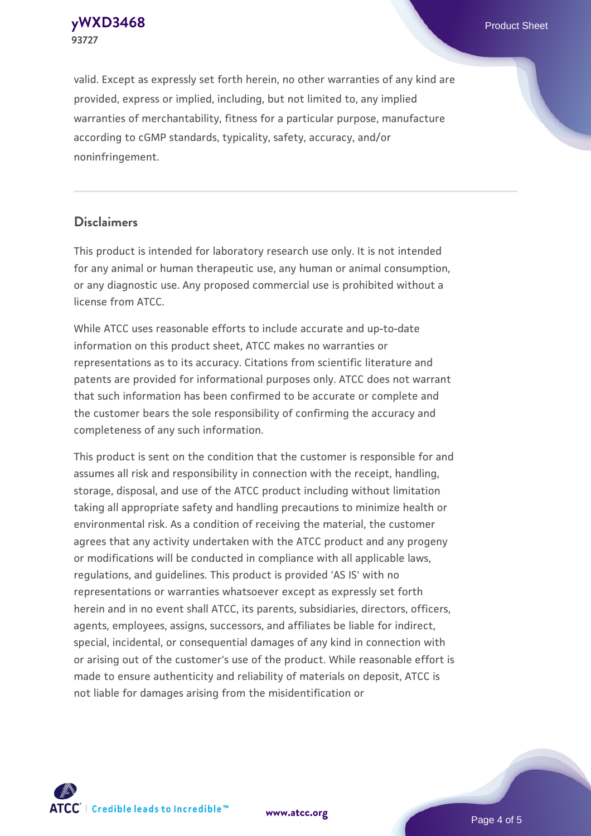**93727**

**[yWXD3468](https://www.atcc.org/products/93727)** Product Sheet

valid. Except as expressly set forth herein, no other warranties of any kind are provided, express or implied, including, but not limited to, any implied warranties of merchantability, fitness for a particular purpose, manufacture according to cGMP standards, typicality, safety, accuracy, and/or noninfringement.

#### **Disclaimers**

This product is intended for laboratory research use only. It is not intended for any animal or human therapeutic use, any human or animal consumption, or any diagnostic use. Any proposed commercial use is prohibited without a license from ATCC.

While ATCC uses reasonable efforts to include accurate and up-to-date information on this product sheet, ATCC makes no warranties or representations as to its accuracy. Citations from scientific literature and patents are provided for informational purposes only. ATCC does not warrant that such information has been confirmed to be accurate or complete and the customer bears the sole responsibility of confirming the accuracy and completeness of any such information.

This product is sent on the condition that the customer is responsible for and assumes all risk and responsibility in connection with the receipt, handling, storage, disposal, and use of the ATCC product including without limitation taking all appropriate safety and handling precautions to minimize health or environmental risk. As a condition of receiving the material, the customer agrees that any activity undertaken with the ATCC product and any progeny or modifications will be conducted in compliance with all applicable laws, regulations, and guidelines. This product is provided 'AS IS' with no representations or warranties whatsoever except as expressly set forth herein and in no event shall ATCC, its parents, subsidiaries, directors, officers, agents, employees, assigns, successors, and affiliates be liable for indirect, special, incidental, or consequential damages of any kind in connection with or arising out of the customer's use of the product. While reasonable effort is made to ensure authenticity and reliability of materials on deposit, ATCC is not liable for damages arising from the misidentification or



**[www.atcc.org](http://www.atcc.org)**

Page 4 of 5